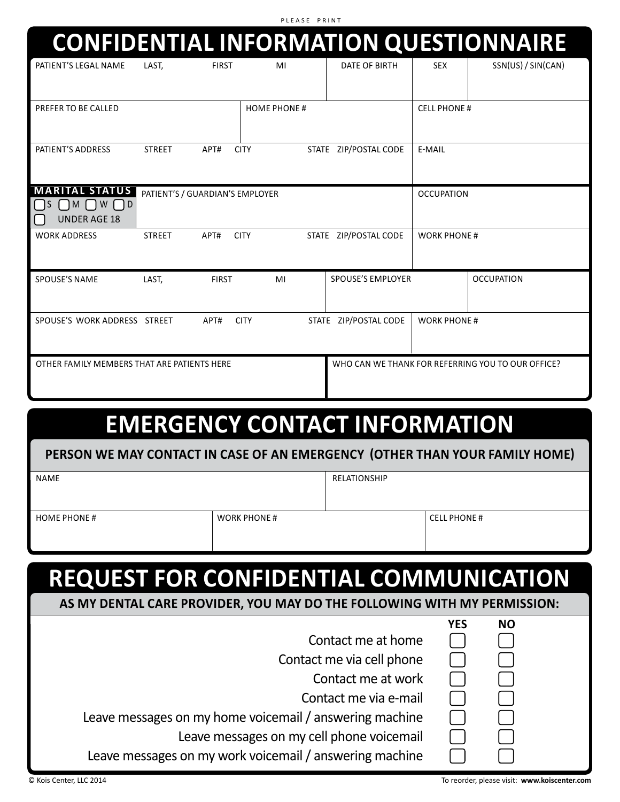P L E A S E P R I N T

|                                                                                 |                                                                         |                     |                    |                          |                    | <b>CONFIDENTIAL INFORMATION QUESTIONNAIRE</b>     |
|---------------------------------------------------------------------------------|-------------------------------------------------------------------------|---------------------|--------------------|--------------------------|--------------------|---------------------------------------------------|
| PATIENT'S LEGAL NAME                                                            | LAST,                                                                   | <b>FIRST</b>        | MI                 | DATE OF BIRTH            | <b>SEX</b>         | SSN(US) / SIN(CAN)                                |
| PREFER TO BE CALLED                                                             |                                                                         |                     | <b>HOME PHONE#</b> |                          | <b>CELL PHONE#</b> |                                                   |
| PATIENT'S ADDRESS                                                               | E-MAIL<br>STATE ZIP/POSTAL CODE<br><b>STREET</b><br>APT#<br><b>CITY</b> |                     |                    |                          |                    |                                                   |
| <b>MARITAL STATUS</b><br>$\bigcap M \bigcap W \bigcap D$<br><b>UNDER AGE 18</b> | PATIENT'S / GUARDIAN'S EMPLOYER                                         |                     |                    | <b>OCCUPATION</b>        |                    |                                                   |
| <b>WORK ADDRESS</b>                                                             | <b>STREET</b>                                                           | APT#<br><b>CITY</b> |                    | STATE ZIP/POSTAL CODE    | <b>WORK PHONE#</b> |                                                   |
| <b>SPOUSE'S NAME</b>                                                            | LAST,                                                                   | <b>FIRST</b>        | MI                 | <b>SPOUSE'S EMPLOYER</b> |                    | <b>OCCUPATION</b>                                 |
| SPOUSE'S WORK ADDRESS STREET                                                    |                                                                         | <b>CITY</b><br>APT# |                    | STATE ZIP/POSTAL CODE    | <b>WORK PHONE#</b> |                                                   |
| OTHER FAMILY MEMBERS THAT ARE PATIENTS HERE                                     |                                                                         |                     |                    |                          |                    | WHO CAN WE THANK FOR REFERRING YOU TO OUR OFFICE? |

## **EMERGENCY CONTACT INFORMATION**

## **PERSON WE MAY CONTACT IN CASE OF AN EMERGENCY (OTHER THAN YOUR FAMILY HOME)**

| NAME               |                    | RELATIONSHIP |                     |
|--------------------|--------------------|--------------|---------------------|
|                    |                    |              |                     |
| <b>HOME PHONE#</b> | <b>WORK PHONE#</b> |              | <b>CELL PHONE #</b> |
|                    |                    |              |                     |

## **REQUEST FOR CONFIDENTIAL COMMUNICATION**

## **AS MY DENTAL CARE PROVIDER, YOU MAY DO THE FOLLOWING WITH MY PERMISSION:**

|                                                         | 1 L. | טאו |  |
|---------------------------------------------------------|------|-----|--|
| Contact me at home                                      |      |     |  |
| Contact me via cell phone                               |      |     |  |
| Contact me at work                                      |      |     |  |
| Contact me via e-mail                                   |      |     |  |
| Leave messages on my home voicemail / answering machine |      |     |  |
| Leave messages on my cell phone voicemail               |      |     |  |
| Leave messages on my work voicemail / answering machine |      |     |  |
|                                                         |      |     |  |

**YES NO**